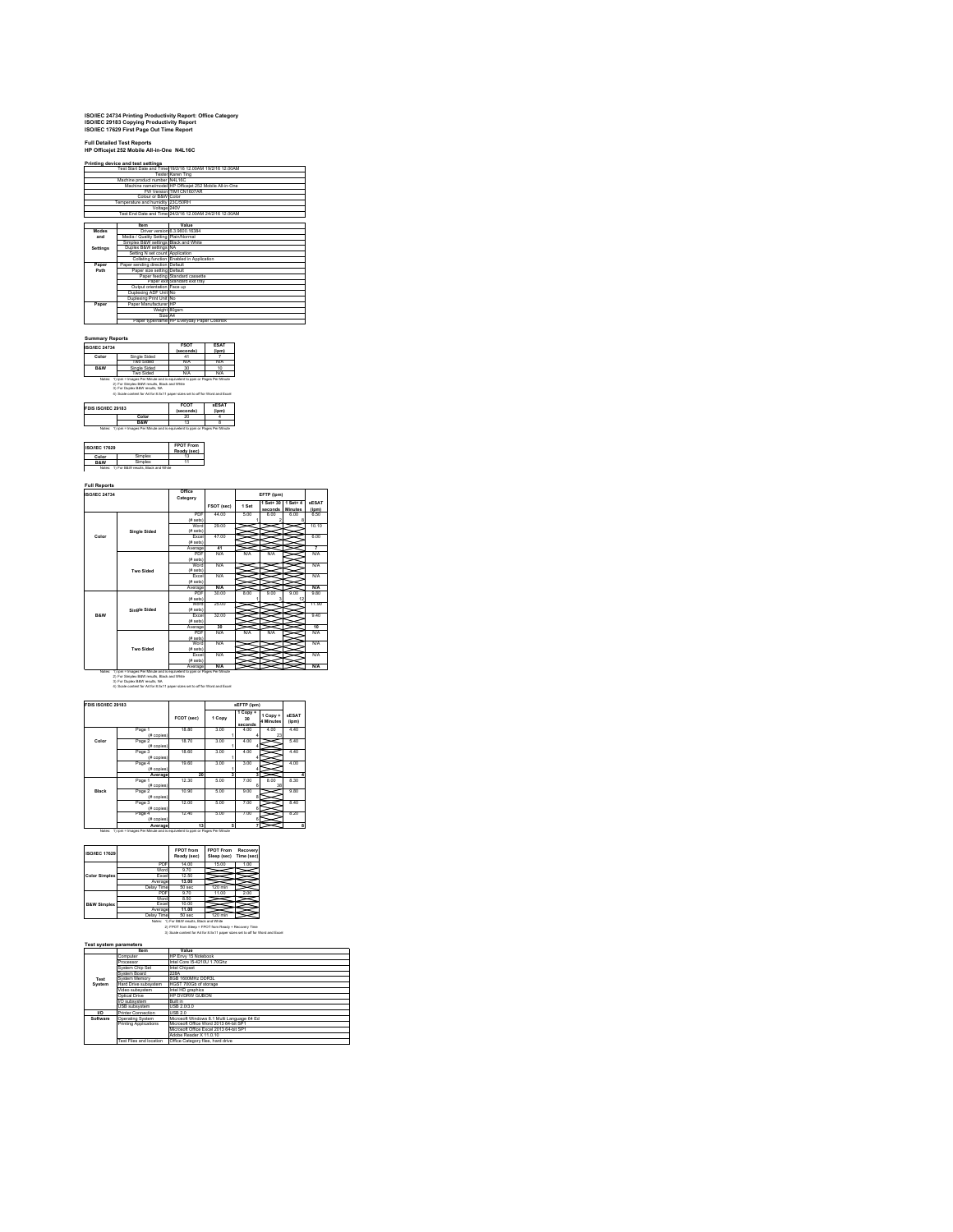# **ISO/IEC 24734 Printing Productivity Report: Office Category ISO/IEC 29183 Copying Productivity Report ISO/IEC 17629 First Page Out Time Report**

## **Full Detailed Test Reports HP Officejet 252 Mobile All-in-One N4L16C**

|          | Printing device and test settings    | Fest Start Date and Time 19/2/16 12:00AM 19/2/16 12:00AM |
|----------|--------------------------------------|----------------------------------------------------------|
|          |                                      |                                                          |
|          |                                      | Tester Karen Ting                                        |
|          | Machine product number N4L16C        |                                                          |
|          |                                      | Machine name/model HP Officeiet 252 Mobile All-in-One    |
|          |                                      | FW Version TIM1CN1607AR                                  |
|          | Colour or B&W Color                  |                                                          |
|          | Temperature and humidity 23C/50RH    |                                                          |
|          | Voltage 240V                         |                                                          |
|          |                                      | Test End Date and Time 24/2/16 12:00AM 24/2/16 12:00AM   |
|          |                                      |                                                          |
|          | <b>Item</b>                          | Value                                                    |
| Modes    |                                      | Driver version 6.3.9600.16384                            |
| and      | Media / Quality Setting Plain/Normal |                                                          |
|          | Simplex B&W settings Black and White |                                                          |
| Settings | Duplex B&W settings NA               |                                                          |
|          | Setting N set count Application      |                                                          |
|          |                                      | Collating function Enabled in Application                |
| Paper    | Paper sending direction Default      |                                                          |
| Path     | Paper size setting Default           |                                                          |
|          |                                      | Paper feeding Standard cassette                          |
|          |                                      | Paper exit Standard exit trav                            |
|          | Output orientation Face up           |                                                          |
|          | Duplexing ADF Unit No                |                                                          |
|          | Duplexing Print Unit No              |                                                          |
| Paper    | Paper Manufacturer IHP               |                                                          |
|          | Weight 80gsm                         |                                                          |
|          | Size A4                              |                                                          |
|          |                                      | Paper type/name HP Everyday Paper Colorlok               |

### **Summary Reports ISO/IEC 24734 FSOT**

| <b>ISO/IEC 24734</b> |                                                                                                               | ESOT<br>(seconds)        | <b>FSAT</b><br>(ipm)  |
|----------------------|---------------------------------------------------------------------------------------------------------------|--------------------------|-----------------------|
| Color                | Single Sided                                                                                                  |                          |                       |
|                      | Two Sided                                                                                                     | N/A                      | N/A                   |
| <b>R&amp;W</b>       | Single Sided                                                                                                  | 30 <sub>0</sub>          | 10                    |
|                      | Two Sided                                                                                                     | N/A                      | N/A                   |
|                      | 3) For Duplex B&W results, NA<br>4) Scale content for A4 for 8.5x11 paper sizes set to off for Word and Excel |                          |                       |
| FDIS ISO/IEC 29183   |                                                                                                               | <b>FCOT</b><br>(seconds) | <b>sESAT</b><br>(ipm) |
|                      | Color                                                                                                         | 20                       |                       |
|                      | <b>R&amp;W</b>                                                                                                | 13                       |                       |
| Notes:               | iom - Images Per Minute and is equivalent to com or Pages Per Minute                                          |                          |                       |

| <b>ISO/IEC 17629</b> |  | <b>FPOT From</b> |  |
|----------------------|--|------------------|--|
|                      |  | Ready (sec)      |  |
| Color                |  |                  |  |
|                      |  |                  |  |

|                     |                                                                                    |            | EFTP (ipm) |                              |                       |                       |
|---------------------|------------------------------------------------------------------------------------|------------|------------|------------------------------|-----------------------|-----------------------|
|                     |                                                                                    | FSOT (sec) | 1 Set      | 1 Set+ 30<br>seconds Minutes | 1 Set+ 4              | <b>sESAT</b><br>(ipm) |
|                     | PDF<br>(# sets)                                                                    | 44.00      | 5.00       | 6.00                         | 6.00                  | 6.50                  |
| <b>Single Sided</b> | Word<br>(# sets)                                                                   | 29.00      |            |                              |                       | 10.10                 |
| Color               | Excel<br>(# sets)                                                                  | 47.00      |            |                              |                       | 6.00                  |
|                     | Average                                                                            | 41         |            |                              |                       | 7                     |
|                     | PDF<br>(# sets)                                                                    | N/A        | N/A        | N/A                          |                       | <b>N/A</b>            |
| Two Sided           | Word<br>(# sets)                                                                   | N/A        |            |                              |                       | <b>N/A</b>            |
|                     | <b>Excel</b><br>(# sets)                                                           | N/A        |            |                              |                       | <b>N/A</b>            |
|                     | Average                                                                            | N/A        |            |                              |                       | N/A                   |
|                     | PDF<br>(# sets)                                                                    | 30.00      | 800        | 900                          | 9 <sub>00</sub><br>12 | 9.80                  |
| <b>Single Sided</b> | Word<br>(# sets)                                                                   | 25.00      |            |                              |                       | 11.90                 |
| <b>R&amp;W</b>      | Excel<br>(# sets)                                                                  | 32.00      |            |                              |                       | 9.40                  |
|                     | Average                                                                            | 30         |            |                              |                       | 10                    |
|                     | <b>PDF</b><br>(# sets)                                                             | N/A        | N/A        | N/A                          |                       | <b>N/A</b>            |
| <b>Two Sided</b>    | Word<br>(# sets)                                                                   | N/A        |            |                              |                       | <b>N/A</b>            |
|                     | Excel<br>(# sets)                                                                  | N/A        |            |                              |                       | <b>N/A</b>            |
| Notes:              | Average<br>1) ipm = Images Per Minute and is equivalent to ppm or Pages Per Minute | $N/\Delta$ |            |                              |                       | N/A                   |

| FDIS ISO/IEC 29183 |                        |            |        | sEFTP (jpm)                            |                       |                       |
|--------------------|------------------------|------------|--------|----------------------------------------|-----------------------|-----------------------|
|                    |                        | FCOT (sec) | 1 Copy | 1 Copy +<br>30 <sub>0</sub><br>seconds | 1 Copy +<br>4 Minutes | <b>sESAT</b><br>(ipm) |
|                    | Page 1<br>(# copies)   | 18.80      | 3.00   | 4.00                                   | 4.00<br>23            | 4.40                  |
| Color              | Page 2<br>$(E$ copies) | 18.70      | 3.00   | 4.00                                   |                       | 5.40                  |
|                    | Page 3<br>(# copies)   | 18.60      | 3.00   | 4.00                                   |                       | 4.40                  |
|                    | Page 4<br>$(E$ copies) | 19.60      | 3.00   | 3.00                                   |                       | 4.00                  |
|                    | Average                | 20         | ä      | з                                      |                       |                       |
|                    | Page 1<br>(# copies)   | 12.30      | 5.00   | 7.00                                   | 8.00<br>38            | 8.30                  |
| Black              | Page 2<br>(# copies)   | 10.90      | 5.00   | 9.00<br>я                              |                       | 9.80                  |
|                    | Page 3<br>(# copies)   | 12.00      | 5.00   | 7.00<br>в                              |                       | 8.40                  |
|                    | Page 4<br>$(E$ copies) | 12.40      | 5.00   | 7.00<br>ĸ                              |                       | 8.20                  |
|                    | Average                | 13         | ĸ      | 7                                      |                       |                       |

| <b>ISO/IEC 17629</b>   |              | <b>FPOT</b> from<br>Ready (sec) | <b>FPOT From</b><br>Sleep (sec) | Recovery<br>Time (sec) |
|------------------------|--------------|---------------------------------|---------------------------------|------------------------|
|                        | PDF          | 14.00                           | 15.00                           | 1.00                   |
|                        | Word         | 9.70                            |                                 |                        |
| <b>Color Simplex</b>   | <b>Excel</b> | 12.50                           |                                 |                        |
|                        | Average      | 13.00                           |                                 |                        |
|                        | Delay Time   | 50 sec                          | 120 min                         |                        |
|                        | PDF          | 9.70                            | 11.00                           | 2.00                   |
|                        | Word         | 8.50                            |                                 |                        |
| <b>B&amp;W Simplex</b> | <b>Excel</b> | 10.00                           |                                 |                        |
|                        | Average      | 11.00                           |                                 |                        |
|                        | Delay Time   | 50 sec                          | 120 min                         |                        |

# Delay Time 50 sec 120 min<br>Notes: 1) For B&W results, Black and White<br>2) FPOT from Sleep = FPOT from Ready + Recovery Time<br>3) Scale content for A4 for 8.5x11 paper sizes set to off for Word and Excel

|           | Item                      | Value                                      |
|-----------|---------------------------|--------------------------------------------|
|           | Computer                  | HP Envy 15 Notebook                        |
|           | Processor                 | Intel Core I5-4210U 1.70Ghz                |
|           | System Chip Set           | Intel Chipset                              |
|           | System Roard              | 228A                                       |
| Test      | System Memory             | 8GB 1600MHz DDR3L                          |
| System    | Hard Drive subsystem      | HGST 700Gb of storage                      |
|           | Video subsystem           | Intel HD graphics                          |
|           | Ontical Drive             | HP DVDRW GURON                             |
|           | I/O subsystem             | <b>Built in</b>                            |
|           | <b>USB</b> subsystem      | <b>USB 2.03.0</b>                          |
| <b>MO</b> | <b>Printer Connection</b> | <b>LISR 20</b>                             |
| Software  | Operating System          | Microsoft Windows 8.1 Multi Language 64 Ed |
|           | Printing Applications     | Microsoft Office Word 2013 64-bit SPT      |
|           |                           | Microsoft Office Excel 2013 64-bit SP1     |
|           |                           | Adobe Reader X 11 0 10                     |
|           | Test Files and location   | Office Category files, hard drive          |